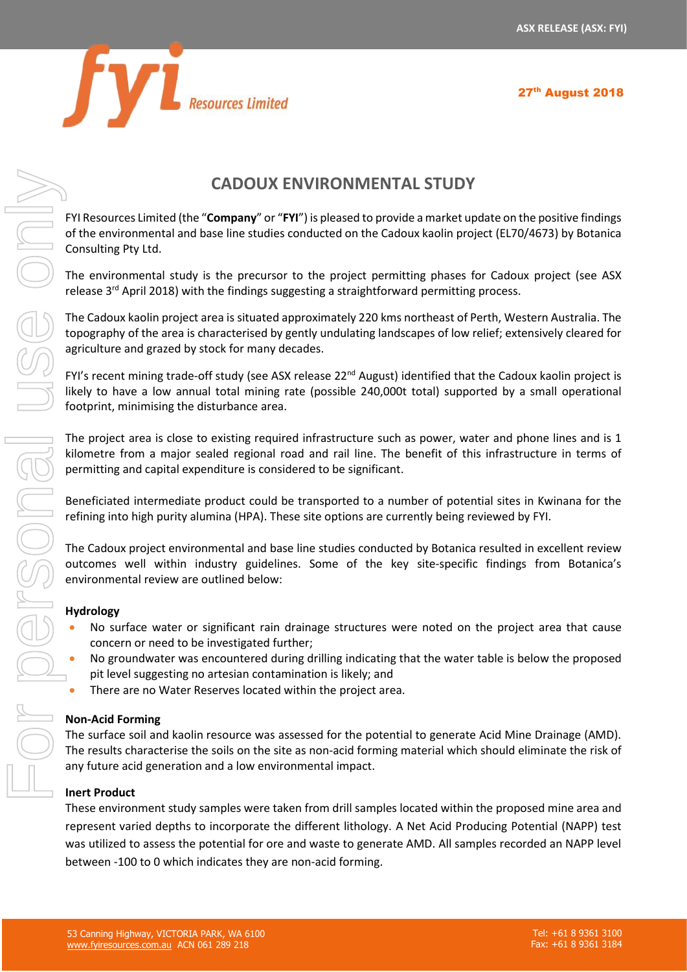27<sup>th</sup> August 2018



# **CADOUX ENVIRONMENTAL STUDY**

FYI Resources Limited (the "**Company**" or "**FYI**") is pleased to provide a market update on the positive findings of the environmental and base line studies conducted on the Cadoux kaolin project (EL70/4673) by Botanica Consulting Pty Ltd.

The environmental study is the precursor to the project permitting phases for Cadoux project (see ASX release 3<sup>rd</sup> April 2018) with the findings suggesting a straightforward permitting process.

The Cadoux kaolin project area is situated approximately 220 kms northeast of Perth, Western Australia. The topography of the area is characterised by gently undulating landscapes of low relief; extensively cleared for agriculture and grazed by stock for many decades.

FYI's recent mining trade-off study (see ASX release  $22^{nd}$  August) identified that the Cadoux kaolin project is likely to have a low annual total mining rate (possible 240,000t total) supported by a small operational footprint, minimising the disturbance area.

The project area is close to existing required infrastructure such as power, water and phone lines and is 1 kilometre from a major sealed regional road and rail line. The benefit of this infrastructure in terms of permitting and capital expenditure is considered to be significant.

Beneficiated intermediate product could be transported to a number of potential sites in Kwinana for the refining into high purity alumina (HPA). These site options are currently being reviewed by FYI.

The Cadoux project environmental and base line studies conducted by Botanica resulted in excellent review outcomes well within industry guidelines. Some of the key site-specific findings from Botanica's environmental review are outlined below:

#### **Hydrology**

- No surface water or significant rain drainage structures were noted on the project area that cause concern or need to be investigated further;
- No groundwater was encountered during drilling indicating that the water table is below the proposed pit level suggesting no artesian contamination is likely; and
- There are no Water Reserves located within the project area.

#### **Non-Acid Forming**

The surface soil and kaolin resource was assessed for the potential to generate Acid Mine Drainage (AMD). The results characterise the soils on the site as non-acid forming material which should eliminate the risk of any future acid generation and a low environmental impact.

#### **Inert Product**

These environment study samples were taken from drill samples located within the proposed mine area and represent varied depths to incorporate the different lithology. A Net Acid Producing Potential (NAPP) test was utilized to assess the potential for ore and waste to generate AMD. All samples recorded an NAPP level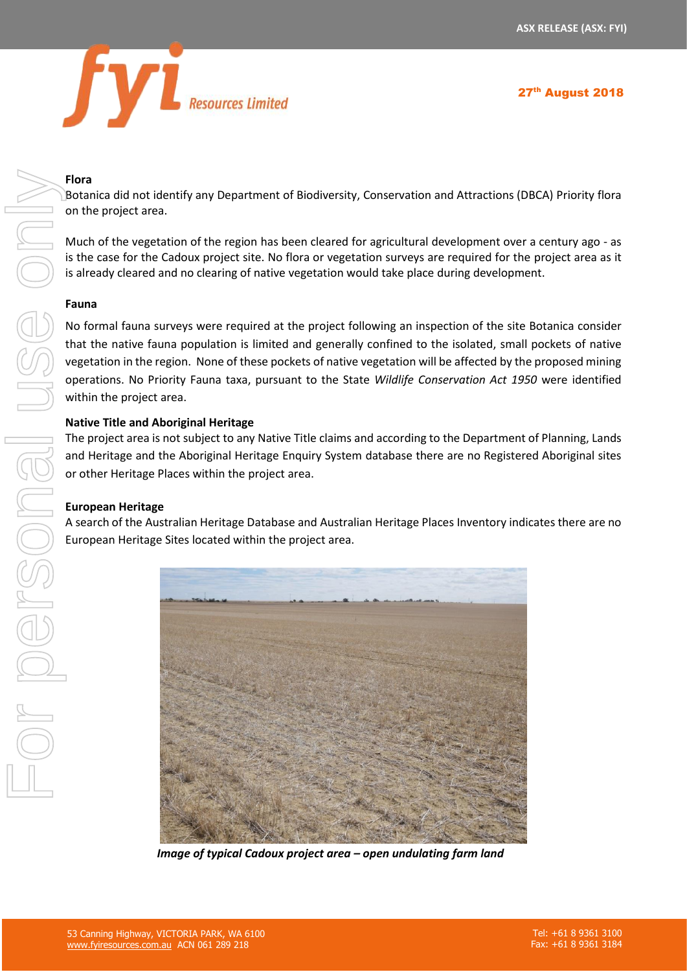

## **Flora**

Botanica did not identify any Department of Biodiversity, Conservation and Attractions (DBCA) Priority flora on the project area.

Much of the vegetation of the region has been cleared for agricultural development over a century ago - as is the case for the Cadoux project site. No flora or vegetation surveys are required for the project area as it is already cleared and no clearing of native vegetation would take place during development.

## **Fauna**

No formal fauna surveys were required at the project following an inspection of the site Botanica consider that the native fauna population is limited and generally confined to the isolated, small pockets of native vegetation in the region. None of these pockets of native vegetation will be affected by the proposed mining operations. No Priority Fauna taxa, pursuant to the State *Wildlife Conservation Act 1950* were identified within the project area.

## **Native Title and Aboriginal Heritage**

The project area is not subject to any Native Title claims and according to the Department of Planning, Lands and Heritage and the Aboriginal Heritage Enquiry System database there are no Registered Aboriginal sites or other Heritage Places within the project area.

## **European Heritage**

A search of the Australian Heritage Database and Australian Heritage Places Inventory indicates there are no European Heritage Sites located within the project area.



 *Image of typical Cadoux project area – open undulating farm land*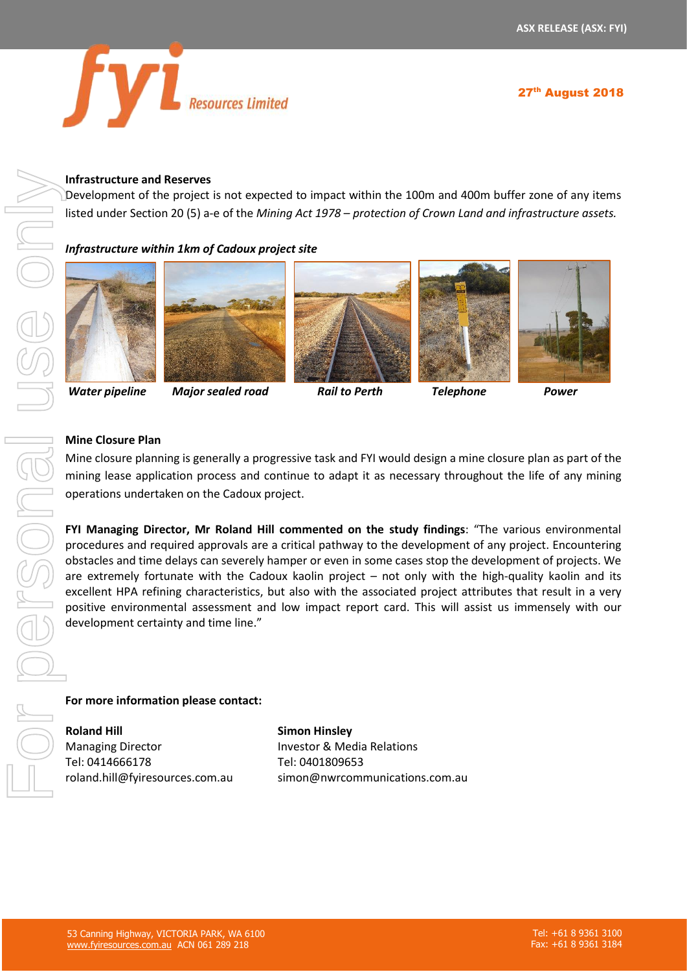

#### **Infrastructure and Reserves**

Development of the project is not expected to impact within the 100m and 400m buffer zone of any items listed under Section 20 (5) a-e of the *Mining Act 1978 – protection of Crown Land and infrastructure assets.*

#### *Infrastructure within 1km of Cadoux project site*











*Water pipeline Major sealed road Rail to Perth Telephone Power*

#### **Mine Closure Plan**

Mine closure planning is generally a progressive task and FYI would design a mine closure plan as part of the mining lease application process and continue to adapt it as necessary throughout the life of any mining operations undertaken on the Cadoux project.

**FYI Managing Director, Mr Roland Hill commented on the study findings**: "The various environmental procedures and required approvals are a critical pathway to the development of any project. Encountering obstacles and time delays can severely hamper or even in some cases stop the development of projects. We are extremely fortunate with the Cadoux kaolin project – not only with the high-quality kaolin and its excellent HPA refining characteristics, but also with the associated project attributes that result in a very positive environmental assessment and low impact report card. This will assist us immensely with our development certainty and time line."

**For more information please contact:** 

**Roland Hill** Managing Director Tel: 0414666178 roland.hill@fyiresources.com.au

**Simon Hinsley** Investor & Media Relations Tel: 0401809653 simon@nwrcommunications.com.au